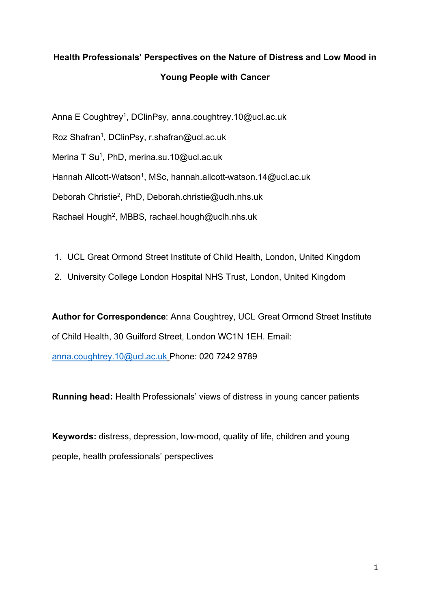# **Health Professionals' Perspectives on the Nature of Distress and Low Mood in Young People with Cancer**

Anna E Coughtrey<sup>1</sup>, DClinPsy, anna.coughtrey.10@ucl.ac.uk

Roz Shafran<sup>1</sup>, DClinPsy, r.shafran@ucl.ac.uk

Merina T Su<sup>1</sup>, PhD, merina.su.10@ucl.ac.uk

Hannah Allcott-Watson<sup>1</sup>, MSc, hannah.allcott-watson.14@ucl.ac.uk

Deborah Christie2, PhD, Deborah.christie@uclh.nhs.uk

Rachael Hough<sup>2</sup>, MBBS, rachael.hough@uclh.nhs.uk

- 1. UCL Great Ormond Street Institute of Child Health, London, United Kingdom
- 2. University College London Hospital NHS Trust, London, United Kingdom

**Author for Correspondence**: Anna Coughtrey, UCL Great Ormond Street Institute of Child Health, 30 Guilford Street, London WC1N 1EH. Email: anna.coughtrey.10@ucl.ac.uk Phone: 020 7242 9789

**Running head:** Health Professionals' views of distress in young cancer patients

**Keywords:** distress, depression, low-mood, quality of life, children and young people, health professionals' perspectives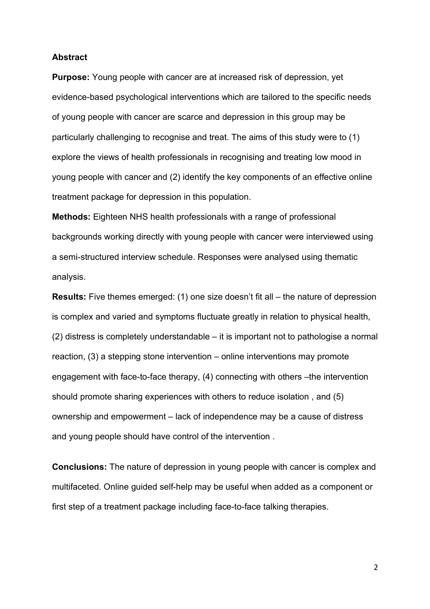#### **Abstract**

**Purpose:** Young people with cancer are at increased risk of depression, yet evidence-based psychological interventions which are tailored to the specific needs of young people with cancer are scarce and depression in this group may be particularly challenging to recognise and treat. The aims of this study were to (1) explore the views of health professionals in recognising and treating low mood in young people with cancer and (2) identify the key components of an effective online treatment package for depression in this population.

**Methods:** Eighteen NHS health professionals with a range of professional backgrounds working directly with young people with cancer were interviewed using a semi-structured interview schedule. Responses were analysed using thematic analysis.

**Results:** Five themes emerged: (1) one size doesn't fit all – the nature of depression is complex and varied and symptoms fluctuate greatly in relation to physical health, (2) distress is completely understandable – it is important not to pathologise a normal reaction, (3) a stepping stone intervention – online interventions may promote engagement with face-to-face therapy, (4) connecting with others –the intervention should promote sharing experiences with others to reduce isolation , and (5) ownership and empowerment – lack of independence may be a cause of distress and young people should have control of the intervention .

**Conclusions:** The nature of depression in young people with cancer is complex and multifaceted. Online guided self-help may be useful when added as a component or first step of a treatment package including face-to-face talking therapies.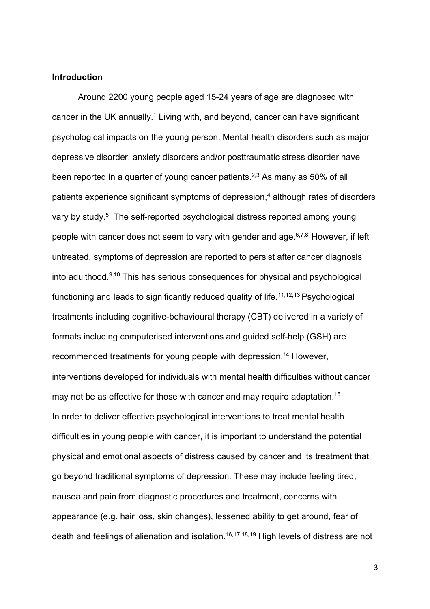## **Introduction**

Around 2200 young people aged 15-24 years of age are diagnosed with cancer in the UK annually.<sup>1</sup> Living with, and beyond, cancer can have significant psychological impacts on the young person. Mental health disorders such as major depressive disorder, anxiety disorders and/or posttraumatic stress disorder have been reported in a quarter of young cancer patients.<sup>2,3</sup> As many as 50% of all patients experience significant symptoms of depression,<sup>4</sup> although rates of disorders vary by study.<sup>5</sup> The self-reported psychological distress reported among young people with cancer does not seem to vary with gender and age. $6,7,8$  However, if left untreated, symptoms of depression are reported to persist after cancer diagnosis into adulthood.9,10 This has serious consequences for physical and psychological functioning and leads to significantly reduced quality of life.<sup>11,12,13</sup> Psychological treatments including cognitive-behavioural therapy (CBT) delivered in a variety of formats including computerised interventions and guided self-help (GSH) are recommended treatments for young people with depression.<sup>14</sup> However, interventions developed for individuals with mental health difficulties without cancer may not be as effective for those with cancer and may require adaptation.<sup>15</sup> In order to deliver effective psychological interventions to treat mental health difficulties in young people with cancer, it is important to understand the potential physical and emotional aspects of distress caused by cancer and its treatment that go beyond traditional symptoms of depression. These may include feeling tired, nausea and pain from diagnostic procedures and treatment, concerns with appearance (e.g. hair loss, skin changes), lessened ability to get around, fear of death and feelings of alienation and isolation. 16,17,18,19 High levels of distress are not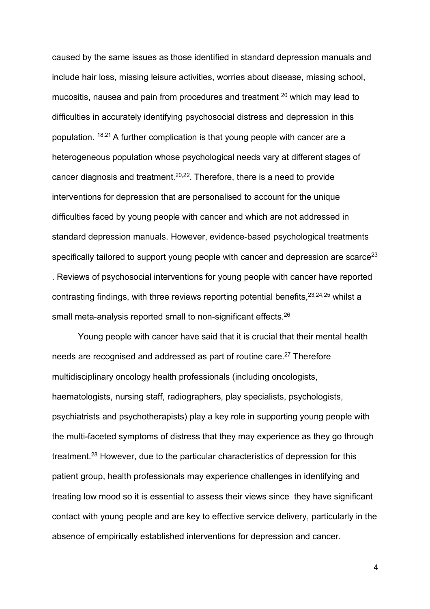caused by the same issues as those identified in standard depression manuals and include hair loss, missing leisure activities, worries about disease, missing school, mucositis, nausea and pain from procedures and treatment <sup>20</sup> which may lead to difficulties in accurately identifying psychosocial distress and depression in this population. 18,21 A further complication is that young people with cancer are a heterogeneous population whose psychological needs vary at different stages of cancer diagnosis and treatment.20,22. Therefore, there is a need to provide interventions for depression that are personalised to account for the unique difficulties faced by young people with cancer and which are not addressed in standard depression manuals. However, evidence-based psychological treatments specifically tailored to support young people with cancer and depression are scarce<sup>23</sup> . Reviews of psychosocial interventions for young people with cancer have reported contrasting findings, with three reviews reporting potential benefits,  $2^{3,24,25}$  whilst a small meta-analysis reported small to non-significant effects.<sup>26</sup>

Young people with cancer have said that it is crucial that their mental health needs are recognised and addressed as part of routine care. <sup>27</sup> Therefore multidisciplinary oncology health professionals (including oncologists, haematologists, nursing staff, radiographers, play specialists, psychologists, psychiatrists and psychotherapists) play a key role in supporting young people with the multi-faceted symptoms of distress that they may experience as they go through treatment.<sup>28</sup> However, due to the particular characteristics of depression for this patient group, health professionals may experience challenges in identifying and treating low mood so it is essential to assess their views since they have significant contact with young people and are key to effective service delivery, particularly in the absence of empirically established interventions for depression and cancer.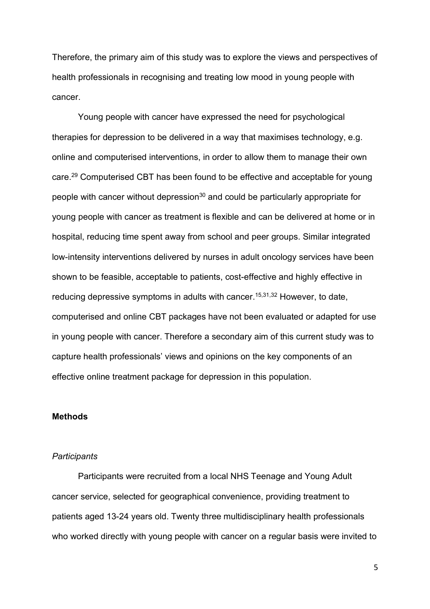Therefore, the primary aim of this study was to explore the views and perspectives of health professionals in recognising and treating low mood in young people with cancer.

Young people with cancer have expressed the need for psychological therapies for depression to be delivered in a way that maximises technology, e.g. online and computerised interventions, in order to allow them to manage their own care.<sup>29</sup> Computerised CBT has been found to be effective and acceptable for young people with cancer without depression<sup>30</sup> and could be particularly appropriate for young people with cancer as treatment is flexible and can be delivered at home or in hospital, reducing time spent away from school and peer groups. Similar integrated low-intensity interventions delivered by nurses in adult oncology services have been shown to be feasible, acceptable to patients, cost-effective and highly effective in reducing depressive symptoms in adults with cancer.<sup>15,31,32</sup> However, to date, computerised and online CBT packages have not been evaluated or adapted for use in young people with cancer. Therefore a secondary aim of this current study was to capture health professionals' views and opinions on the key components of an effective online treatment package for depression in this population.

#### **Methods**

## *Participants*

Participants were recruited from a local NHS Teenage and Young Adult cancer service, selected for geographical convenience, providing treatment to patients aged 13-24 years old. Twenty three multidisciplinary health professionals who worked directly with young people with cancer on a regular basis were invited to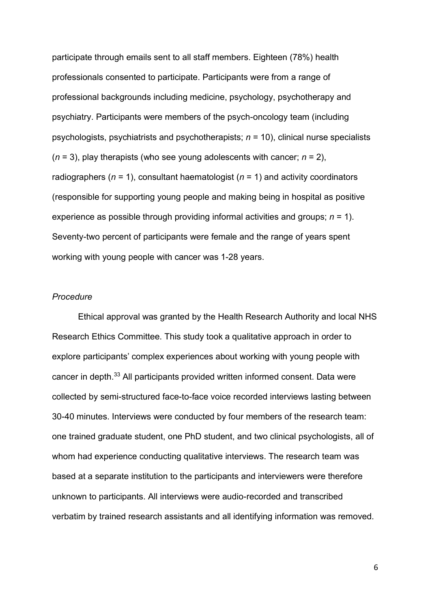participate through emails sent to all staff members. Eighteen (78%) health professionals consented to participate. Participants were from a range of professional backgrounds including medicine, psychology, psychotherapy and psychiatry. Participants were members of the psych-oncology team (including psychologists, psychiatrists and psychotherapists; *n* = 10), clinical nurse specialists (*n* = 3), play therapists (who see young adolescents with cancer; *n* = 2), radiographers (*n* = 1), consultant haematologist (*n* = 1) and activity coordinators (responsible for supporting young people and making being in hospital as positive experience as possible through providing informal activities and groups; *n* = 1). Seventy-two percent of participants were female and the range of years spent working with young people with cancer was 1-28 years.

# *Procedure*

Ethical approval was granted by the Health Research Authority and local NHS Research Ethics Committee. This study took a qualitative approach in order to explore participants' complex experiences about working with young people with cancer in depth. <sup>33</sup> All participants provided written informed consent. Data were collected by semi-structured face-to-face voice recorded interviews lasting between 30-40 minutes. Interviews were conducted by four members of the research team: one trained graduate student, one PhD student, and two clinical psychologists, all of whom had experience conducting qualitative interviews. The research team was based at a separate institution to the participants and interviewers were therefore unknown to participants. All interviews were audio-recorded and transcribed verbatim by trained research assistants and all identifying information was removed.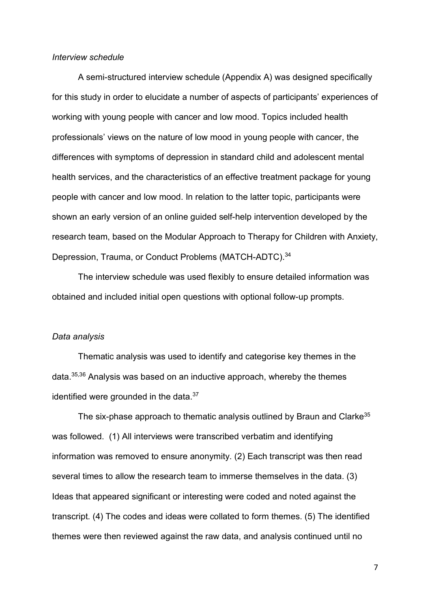#### *Interview schedule*

A semi-structured interview schedule (Appendix A) was designed specifically for this study in order to elucidate a number of aspects of participants' experiences of working with young people with cancer and low mood. Topics included health professionals' views on the nature of low mood in young people with cancer, the differences with symptoms of depression in standard child and adolescent mental health services, and the characteristics of an effective treatment package for young people with cancer and low mood. In relation to the latter topic, participants were shown an early version of an online guided self-help intervention developed by the research team, based on the Modular Approach to Therapy for Children with Anxiety, Depression, Trauma, or Conduct Problems (MATCH-ADTC).<sup>34</sup>

The interview schedule was used flexibly to ensure detailed information was obtained and included initial open questions with optional follow-up prompts.

#### *Data analysis*

Thematic analysis was used to identify and categorise key themes in the data. 35,36 Analysis was based on an inductive approach, whereby the themes identified were grounded in the data.<sup>37</sup>

The six-phase approach to thematic analysis outlined by Braun and Clarke<sup>35</sup> was followed. (1) All interviews were transcribed verbatim and identifying information was removed to ensure anonymity. (2) Each transcript was then read several times to allow the research team to immerse themselves in the data. (3) Ideas that appeared significant or interesting were coded and noted against the transcript. (4) The codes and ideas were collated to form themes. (5) The identified themes were then reviewed against the raw data, and analysis continued until no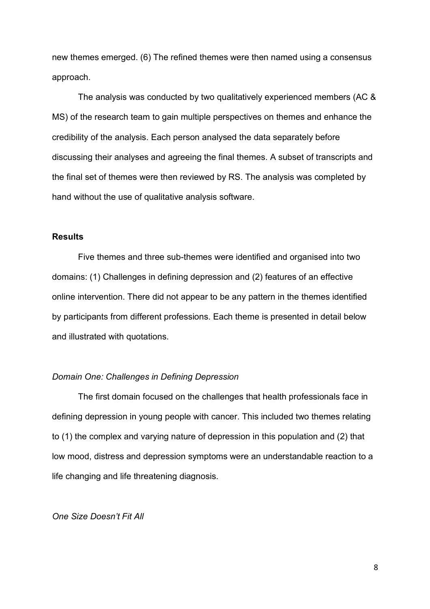new themes emerged. (6) The refined themes were then named using a consensus approach.

The analysis was conducted by two qualitatively experienced members (AC & MS) of the research team to gain multiple perspectives on themes and enhance the credibility of the analysis. Each person analysed the data separately before discussing their analyses and agreeing the final themes. A subset of transcripts and the final set of themes were then reviewed by RS. The analysis was completed by hand without the use of qualitative analysis software.

## **Results**

Five themes and three sub-themes were identified and organised into two domains: (1) Challenges in defining depression and (2) features of an effective online intervention. There did not appear to be any pattern in the themes identified by participants from different professions. Each theme is presented in detail below and illustrated with quotations.

## *Domain One: Challenges in Defining Depression*

The first domain focused on the challenges that health professionals face in defining depression in young people with cancer. This included two themes relating to (1) the complex and varying nature of depression in this population and (2) that low mood, distress and depression symptoms were an understandable reaction to a life changing and life threatening diagnosis.

#### *One Size Doesn't Fit All*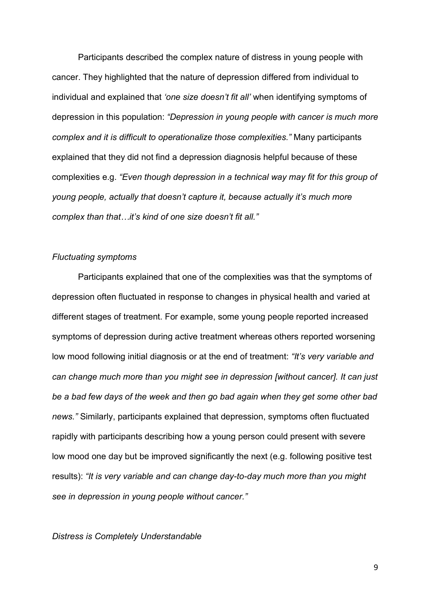Participants described the complex nature of distress in young people with cancer. They highlighted that the nature of depression differed from individual to individual and explained that *'one size doesn't fit all'* when identifying symptoms of depression in this population: *"Depression in young people with cancer is much more complex and it is difficult to operationalize those complexities."* Many participants explained that they did not find a depression diagnosis helpful because of these complexities e.g. *"Even though depression in a technical way may fit for this group of young people, actually that doesn't capture it, because actually it's much more complex than that…it's kind of one size doesn't fit all."*

## *Fluctuating symptoms*

Participants explained that one of the complexities was that the symptoms of depression often fluctuated in response to changes in physical health and varied at different stages of treatment. For example, some young people reported increased symptoms of depression during active treatment whereas others reported worsening low mood following initial diagnosis or at the end of treatment: *"It's very variable and can change much more than you might see in depression [without cancer]. It can just be a bad few days of the week and then go bad again when they get some other bad news."* Similarly, participants explained that depression, symptoms often fluctuated rapidly with participants describing how a young person could present with severe low mood one day but be improved significantly the next (e.g. following positive test results): *"It is very variable and can change day-to-day much more than you might see in depression in young people without cancer."* 

## *Distress is Completely Understandable*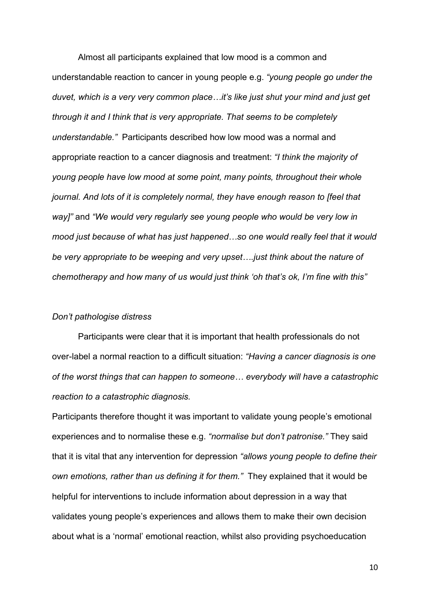Almost all participants explained that low mood is a common and understandable reaction to cancer in young people e.g. *"young people go under the duvet, which is a very very common place…it's like just shut your mind and just get through it and I think that is very appropriate. That seems to be completely understandable."* Participants described how low mood was a normal and appropriate reaction to a cancer diagnosis and treatment: *"I think the majority of young people have low mood at some point, many points, throughout their whole journal. And lots of it is completely normal, they have enough reason to [feel that way]"* and *"We would very regularly see young people who would be very low in mood just because of what has just happened…so one would really feel that it would be very appropriate to be weeping and very upset….just think about the nature of chemotherapy and how many of us would just think 'oh that's ok, I'm fine with this"*

#### *Don't pathologise distress*

Participants were clear that it is important that health professionals do not over-label a normal reaction to a difficult situation: *"Having a cancer diagnosis is one of the worst things that can happen to someone… everybody will have a catastrophic reaction to a catastrophic diagnosis.*

Participants therefore thought it was important to validate young people's emotional experiences and to normalise these e.g. *"normalise but don't patronise."* They said that it is vital that any intervention for depression *"allows young people to define their own emotions, rather than us defining it for them."* They explained that it would be helpful for interventions to include information about depression in a way that validates young people's experiences and allows them to make their own decision about what is a 'normal' emotional reaction, whilst also providing psychoeducation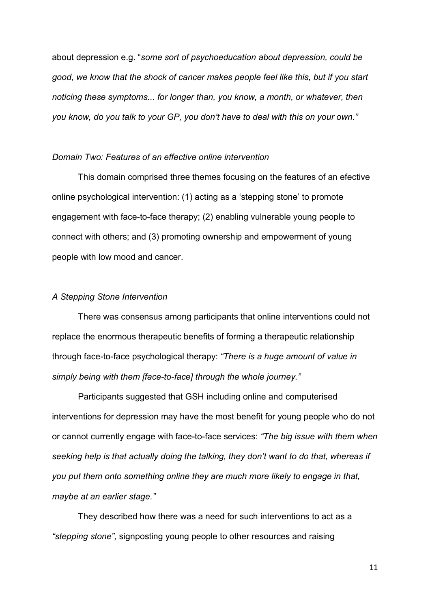about depression e.g. "*some sort of psychoeducation about depression, could be good, we know that the shock of cancer makes people feel like this, but if you start noticing these symptoms... for longer than, you know, a month, or whatever, then you know, do you talk to your GP, you don't have to deal with this on your own."*

### *Domain Two: Features of an effective online intervention*

This domain comprised three themes focusing on the features of an efective online psychological intervention: (1) acting as a 'stepping stone' to promote engagement with face-to-face therapy; (2) enabling vulnerable young people to connect with others; and (3) promoting ownership and empowerment of young people with low mood and cancer.

### *A Stepping Stone Intervention*

There was consensus among participants that online interventions could not replace the enormous therapeutic benefits of forming a therapeutic relationship through face-to-face psychological therapy: *"There is a huge amount of value in simply being with them [face-to-face] through the whole journey."* 

Participants suggested that GSH including online and computerised interventions for depression may have the most benefit for young people who do not or cannot currently engage with face-to-face services: *"The big issue with them when seeking help is that actually doing the talking, they don't want to do that, whereas if you put them onto something online they are much more likely to engage in that, maybe at an earlier stage."*

They described how there was a need for such interventions to act as a *"stepping stone",* signposting young people to other resources and raising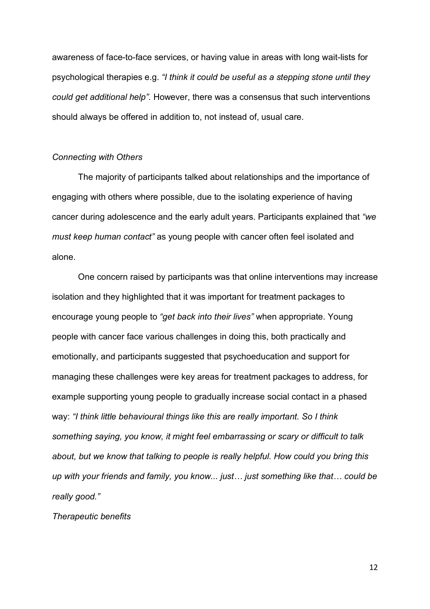awareness of face-to-face services, or having value in areas with long wait-lists for psychological therapies e.g. *"I think it could be useful as a stepping stone until they could get additional help".* However, there was a consensus that such interventions should always be offered in addition to, not instead of, usual care.

## *Connecting with Others*

The majority of participants talked about relationships and the importance of engaging with others where possible, due to the isolating experience of having cancer during adolescence and the early adult years. Participants explained that *"we must keep human contact"* as young people with cancer often feel isolated and alone.

One concern raised by participants was that online interventions may increase isolation and they highlighted that it was important for treatment packages to encourage young people to *"get back into their lives"* when appropriate. Young people with cancer face various challenges in doing this, both practically and emotionally, and participants suggested that psychoeducation and support for managing these challenges were key areas for treatment packages to address, for example supporting young people to gradually increase social contact in a phased way: *"I think little behavioural things like this are really important. So I think something saying, you know, it might feel embarrassing or scary or difficult to talk about, but we know that talking to people is really helpful. How could you bring this up with your friends and family, you know... just… just something like that… could be really good."*

#### *Therapeutic benefits*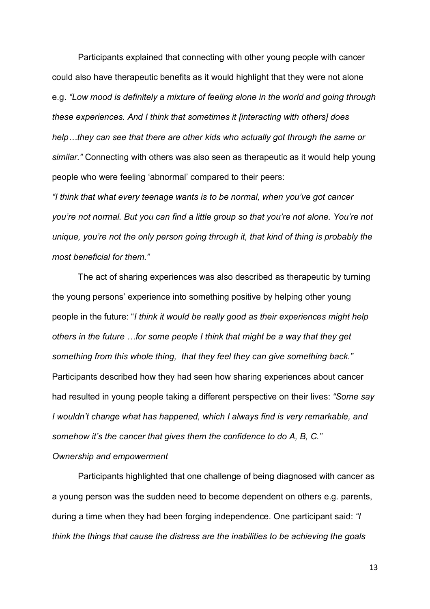Participants explained that connecting with other young people with cancer could also have therapeutic benefits as it would highlight that they were not alone e.g. *"Low mood is definitely a mixture of feeling alone in the world and going through these experiences. And I think that sometimes it [interacting with others] does help…they can see that there are other kids who actually got through the same or similar."* Connecting with others was also seen as therapeutic as it would help young people who were feeling 'abnormal' compared to their peers:

*"I think that what every teenage wants is to be normal, when you've got cancer you're not normal. But you can find a little group so that you're not alone. You're not unique, you're not the only person going through it, that kind of thing is probably the most beneficial for them."* 

The act of sharing experiences was also described as therapeutic by turning the young persons' experience into something positive by helping other young people in the future: "*I think it would be really good as their experiences might help others in the future …for some people I think that might be a way that they get something from this whole thing, that they feel they can give something back."* Participants described how they had seen how sharing experiences about cancer had resulted in young people taking a different perspective on their lives: *"Some say I wouldn't change what has happened, which I always find is very remarkable, and somehow it's the cancer that gives them the confidence to do A, B, C."* 

## *Ownership and empowerment*

Participants highlighted that one challenge of being diagnosed with cancer as a young person was the sudden need to become dependent on others e.g. parents, during a time when they had been forging independence. One participant said: *"I think the things that cause the distress are the inabilities to be achieving the goals*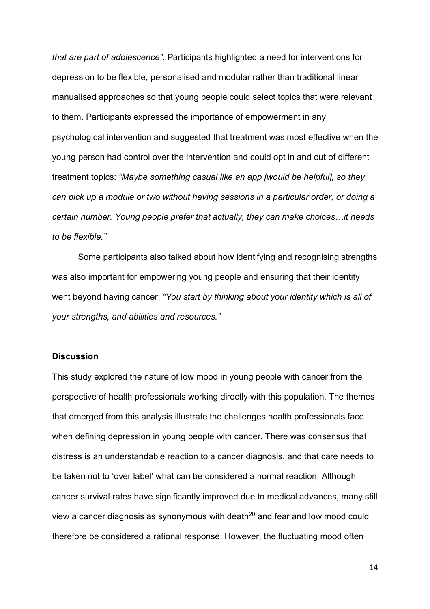*that are part of adolescence".* Participants highlighted a need for interventions for depression to be flexible, personalised and modular rather than traditional linear manualised approaches so that young people could select topics that were relevant to them. Participants expressed the importance of empowerment in any psychological intervention and suggested that treatment was most effective when the young person had control over the intervention and could opt in and out of different treatment topics: *"Maybe something casual like an app [would be helpful], so they can pick up a module or two without having sessions in a particular order, or doing a certain number. Young people prefer that actually, they can make choices…it needs to be flexible."*

Some participants also talked about how identifying and recognising strengths was also important for empowering young people and ensuring that their identity went beyond having cancer: *"You start by thinking about your identity which is all of your strengths, and abilities and resources."*

## **Discussion**

This study explored the nature of low mood in young people with cancer from the perspective of health professionals working directly with this population. The themes that emerged from this analysis illustrate the challenges health professionals face when defining depression in young people with cancer. There was consensus that distress is an understandable reaction to a cancer diagnosis, and that care needs to be taken not to 'over label' what can be considered a normal reaction. Although cancer survival rates have significantly improved due to medical advances, many still view a cancer diagnosis as synonymous with death $20$  and fear and low mood could therefore be considered a rational response. However, the fluctuating mood often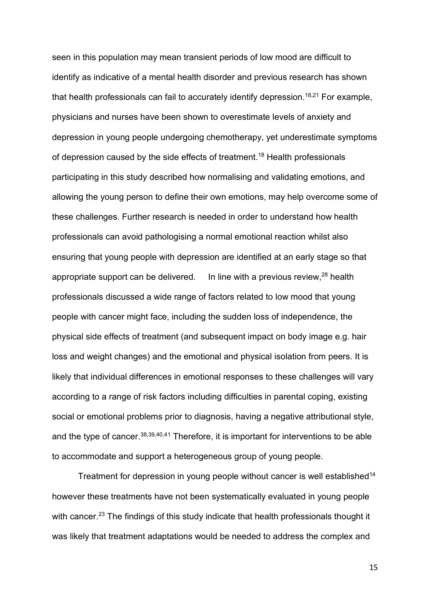seen in this population may mean transient periods of low mood are difficult to identify as indicative of a mental health disorder and previous research has shown that health professionals can fail to accurately identify depression.<sup>18,21</sup> For example, physicians and nurses have been shown to overestimate levels of anxiety and depression in young people undergoing chemotherapy, yet underestimate symptoms of depression caused by the side effects of treatment.<sup>18</sup> Health professionals participating in this study described how normalising and validating emotions, and allowing the young person to define their own emotions, may help overcome some of these challenges. Further research is needed in order to understand how health professionals can avoid pathologising a normal emotional reaction whilst also ensuring that young people with depression are identified at an early stage so that appropriate support can be delivered. In line with a previous review,  $28$  health professionals discussed a wide range of factors related to low mood that young people with cancer might face, including the sudden loss of independence, the physical side effects of treatment (and subsequent impact on body image e.g. hair loss and weight changes) and the emotional and physical isolation from peers. It is likely that individual differences in emotional responses to these challenges will vary according to a range of risk factors including difficulties in parental coping, existing social or emotional problems prior to diagnosis, having a negative attributional style, and the type of cancer.<sup>38,39,40,41</sup> Therefore, it is important for interventions to be able to accommodate and support a heterogeneous group of young people.

Treatment for depression in young people without cancer is well established<sup>14</sup> however these treatments have not been systematically evaluated in young people with cancer.<sup>23</sup> The findings of this study indicate that health professionals thought it was likely that treatment adaptations would be needed to address the complex and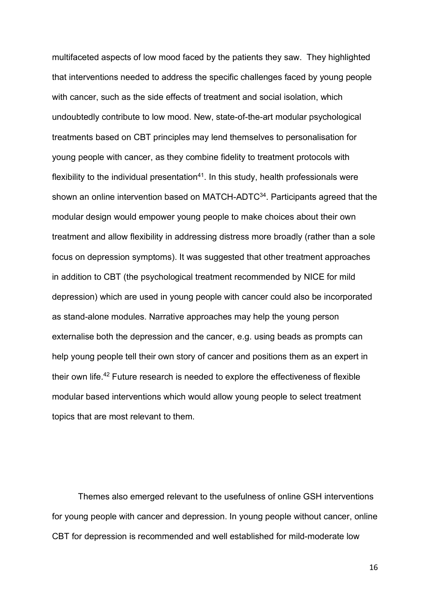multifaceted aspects of low mood faced by the patients they saw. They highlighted that interventions needed to address the specific challenges faced by young people with cancer, such as the side effects of treatment and social isolation, which undoubtedly contribute to low mood. New, state-of-the-art modular psychological treatments based on CBT principles may lend themselves to personalisation for young people with cancer, as they combine fidelity to treatment protocols with flexibility to the individual presentation $41$ . In this study, health professionals were shown an online intervention based on MATCH-ADTC<sup>34</sup>. Participants agreed that the modular design would empower young people to make choices about their own treatment and allow flexibility in addressing distress more broadly (rather than a sole focus on depression symptoms). It was suggested that other treatment approaches in addition to CBT (the psychological treatment recommended by NICE for mild depression) which are used in young people with cancer could also be incorporated as stand-alone modules. Narrative approaches may help the young person externalise both the depression and the cancer, e.g. using beads as prompts can help young people tell their own story of cancer and positions them as an expert in their own life.42 Future research is needed to explore the effectiveness of flexible modular based interventions which would allow young people to select treatment topics that are most relevant to them.

Themes also emerged relevant to the usefulness of online GSH interventions for young people with cancer and depression. In young people without cancer, online CBT for depression is recommended and well established for mild-moderate low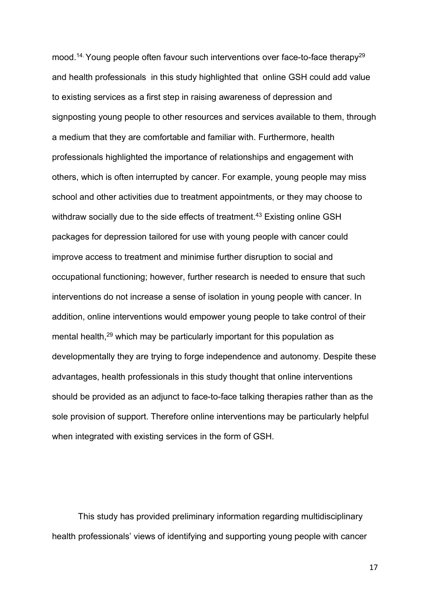mood.<sup>14.</sup> Young people often favour such interventions over face-to-face therapy<sup>29</sup> and health professionals in this study highlighted that online GSH could add value to existing services as a first step in raising awareness of depression and signposting young people to other resources and services available to them, through a medium that they are comfortable and familiar with. Furthermore, health professionals highlighted the importance of relationships and engagement with others, which is often interrupted by cancer. For example, young people may miss school and other activities due to treatment appointments, or they may choose to withdraw socially due to the side effects of treatment. <sup>43</sup> Existing online GSH packages for depression tailored for use with young people with cancer could improve access to treatment and minimise further disruption to social and occupational functioning; however, further research is needed to ensure that such interventions do not increase a sense of isolation in young people with cancer. In addition, online interventions would empower young people to take control of their mental health,<sup>29</sup> which may be particularly important for this population as developmentally they are trying to forge independence and autonomy. Despite these advantages, health professionals in this study thought that online interventions should be provided as an adjunct to face-to-face talking therapies rather than as the sole provision of support. Therefore online interventions may be particularly helpful when integrated with existing services in the form of GSH.

This study has provided preliminary information regarding multidisciplinary health professionals' views of identifying and supporting young people with cancer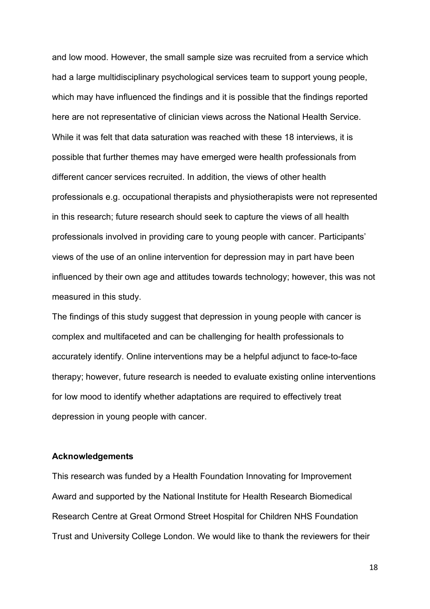and low mood. However, the small sample size was recruited from a service which had a large multidisciplinary psychological services team to support young people, which may have influenced the findings and it is possible that the findings reported here are not representative of clinician views across the National Health Service. While it was felt that data saturation was reached with these 18 interviews, it is possible that further themes may have emerged were health professionals from different cancer services recruited. In addition, the views of other health professionals e.g. occupational therapists and physiotherapists were not represented in this research; future research should seek to capture the views of all health professionals involved in providing care to young people with cancer. Participants' views of the use of an online intervention for depression may in part have been influenced by their own age and attitudes towards technology; however, this was not measured in this study.

The findings of this study suggest that depression in young people with cancer is complex and multifaceted and can be challenging for health professionals to accurately identify. Online interventions may be a helpful adjunct to face-to-face therapy; however, future research is needed to evaluate existing online interventions for low mood to identify whether adaptations are required to effectively treat depression in young people with cancer.

#### **Acknowledgements**

This research was funded by a Health Foundation Innovating for Improvement Award and supported by the National Institute for Health Research Biomedical Research Centre at Great Ormond Street Hospital for Children NHS Foundation Trust and University College London. We would like to thank the reviewers for their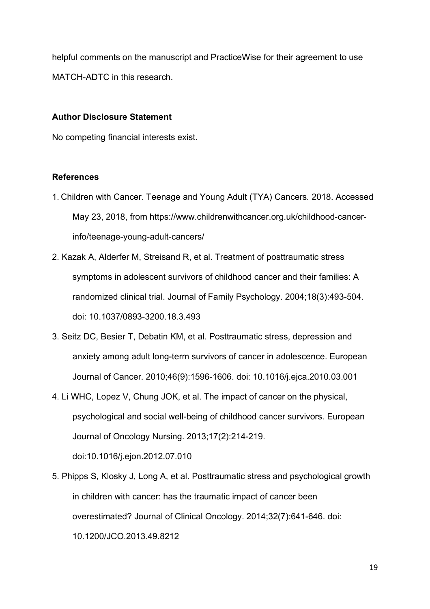helpful comments on the manuscript and PracticeWise for their agreement to use MATCH-ADTC in this research.

# **Author Disclosure Statement**

No competing financial interests exist.

## **References**

- 1. Children with Cancer. Teenage and Young Adult (TYA) Cancers*.* 2018. Accessed May 23, 2018, from https://www.childrenwithcancer.org.uk/childhood-cancerinfo/teenage-young-adult-cancers/
- 2. Kazak A, Alderfer M, Streisand R, et al. Treatment of posttraumatic stress symptoms in adolescent survivors of childhood cancer and their families: A randomized clinical trial. Journal of Family Psychology. 2004;18(3):493-504. doi: 10.1037/0893-3200.18.3.493
- 3. Seitz DC, Besier T, Debatin KM, et al. Posttraumatic stress, depression and anxiety among adult long-term survivors of cancer in adolescence. European Journal of Cancer. 2010;46(9):1596-1606. doi: 10.1016/j.ejca.2010.03.001
- 4. Li WHC, Lopez V, Chung JOK, et al. The impact of cancer on the physical, psychological and social well-being of childhood cancer survivors. European Journal of Oncology Nursing. 2013;17(2):214-219.

doi:10.1016/j.ejon.2012.07.010

5. Phipps S, Klosky J, Long A, et al. Posttraumatic stress and psychological growth in children with cancer: has the traumatic impact of cancer been overestimated? Journal of Clinical Oncology. 2014;32(7):641-646. doi: 10.1200/JCO.2013.49.8212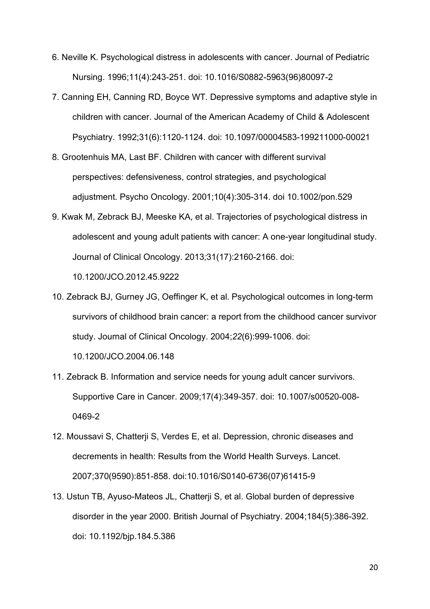- 6. Neville K. Psychological distress in adolescents with cancer. Journal of Pediatric Nursing. 1996;11(4):243-251. doi: 10.1016/S0882-5963(96)80097-2
- 7. Canning EH, Canning RD, Boyce WT. Depressive symptoms and adaptive style in children with cancer. Journal of the American Academy of Child & Adolescent Psychiatry. 1992;31(6):1120-1124. doi: 10.1097/00004583-199211000-00021
- 8. Grootenhuis MA, Last BF. Children with cancer with different survival perspectives: defensiveness, control strategies, and psychological adjustment. Psycho Oncology. 2001;10(4):305-314. doi 10.1002/pon.529
- 9. Kwak M, Zebrack BJ, Meeske KA, et al. Trajectories of psychological distress in adolescent and young adult patients with cancer: A one-year longitudinal study. Journal of Clinical Oncology. 2013*;*31(17):2160-2166. doi:

10.1200/JCO.2012.45.9222

10. Zebrack BJ, Gurney JG, Oeffinger K, et al. Psychological outcomes in long-term survivors of childhood brain cancer: a report from the childhood cancer survivor study. Journal of Clinical Oncology. 2004;*22*(6):999-1006. doi:

10.1200/JCO.2004.06.148

- 11. Zebrack B. Information and service needs for young adult cancer survivors. Supportive Care in Cancer. 2009;17(4):349-357. doi: 10.1007/s00520-008- 0469-2
- 12. Moussavi S, Chatterji S, Verdes E, et al. Depression, chronic diseases and decrements in health: Results from the World Health Surveys. Lancet. 2007;370(9590):851-858. doi:10.1016/S0140-6736(07)61415-9
- 13. Ustun TB, Ayuso-Mateos JL, Chatterji S, et al. Global burden of depressive disorder in the year 2000. British Journal of Psychiatry. 2004;184(5):386-392. doi: 10.1192/bjp.184.5.386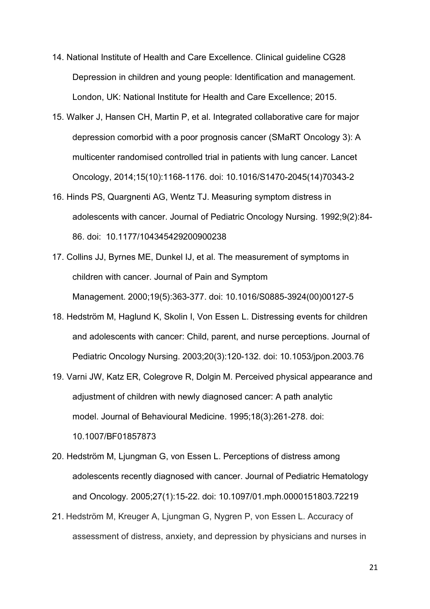- 14. National Institute of Health and Care Excellence. Clinical guideline CG28 Depression in children and young people: Identification and management. London, UK: National Institute for Health and Care Excellence; 2015.
- 15. Walker J, Hansen CH, Martin P, et al. Integrated collaborative care for major depression comorbid with a poor prognosis cancer (SMaRT Oncology 3): A multicenter randomised controlled trial in patients with lung cancer. Lancet Oncology, 2014;15(10):1168-1176. doi: 10.1016/S1470-2045(14)70343-2
- 16. Hinds PS, Quargnenti AG, Wentz TJ. Measuring symptom distress in adolescents with cancer. Journal of Pediatric Oncology Nursing. 1992;9(2):84- 86. doi: 10.1177/104345429200900238
- 17. Collins JJ, Byrnes ME, Dunkel IJ, et al. The measurement of symptoms in children with cancer. Journal of Pain and Symptom Management. 2000;19(5):363-377. doi: 10.1016/S0885-3924(00)00127-5
- 18. Hedström M, Haglund K, Skolin I, Von Essen L. Distressing events for children and adolescents with cancer: Child, parent, and nurse perceptions. Journal of Pediatric Oncology Nursing. 2003;20(3):120-132. doi: 10.1053/jpon.2003.76
- 19. Varni JW, Katz ER, Colegrove R, Dolgin M. Perceived physical appearance and adjustment of children with newly diagnosed cancer: A path analytic model. Journal of Behavioural Medicine. 1995;18(3):261-278. doi: 10.1007/BF01857873
- 20. Hedström M, Ljungman G, von Essen L. Perceptions of distress among adolescents recently diagnosed with cancer. Journal of Pediatric Hematology and Oncology*.* 2005;27(1):15-22. doi: 10.1097/01.mph.0000151803.72219
- 21. Hedström M, Kreuger A, Ljungman G, Nygren P, von Essen L. Accuracy of assessment of distress, anxiety, and depression by physicians and nurses in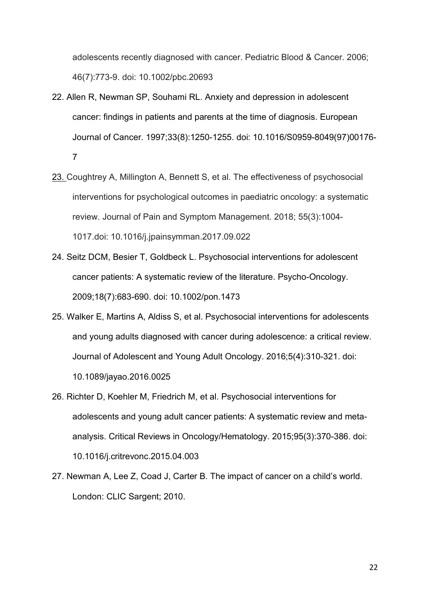adolescents recently diagnosed with cancer. Pediatric Blood & Cancer. 2006; 46(7):773-9. doi: 10.1002/pbc.20693

- 22. Allen R, Newman SP, Souhami RL. Anxiety and depression in adolescent cancer: findings in patients and parents at the time of diagnosis. European Journal of Cancer. 1997;33(8):1250-1255. doi: 10.1016/S0959-8049(97)00176- 7
- 23. Coughtrey A, Millington A, Bennett S, et al. The effectiveness of psychosocial interventions for psychological outcomes in paediatric oncology: a systematic review. Journal of Pain and Symptom Management. 2018; 55(3):1004- 1017.doi: 10.1016/j.jpainsymman.2017.09.022
- 24. Seitz DCM, Besier T, Goldbeck L. Psychosocial interventions for adolescent cancer patients: A systematic review of the literature. Psycho-Oncology. 2009;18(7):683-690. doi: 10.1002/pon.1473
- 25. Walker E, Martins A, Aldiss S, et al. Psychosocial interventions for adolescents and young adults diagnosed with cancer during adolescence: a critical review. Journal of Adolescent and Young Adult Oncology. 2016;5(4):310-321. doi: 10.1089/jayao.2016.0025
- 26. Richter D, Koehler M, Friedrich M, et al. Psychosocial interventions for adolescents and young adult cancer patients: A systematic review and metaanalysis. Critical Reviews in Oncology/Hematology. 2015;95(3):370-386. doi: 10.1016/j.critrevonc.2015.04.003
- 27. Newman A, Lee Z, Coad J, Carter B. The impact of cancer on a child's world. London: CLIC Sargent; 2010.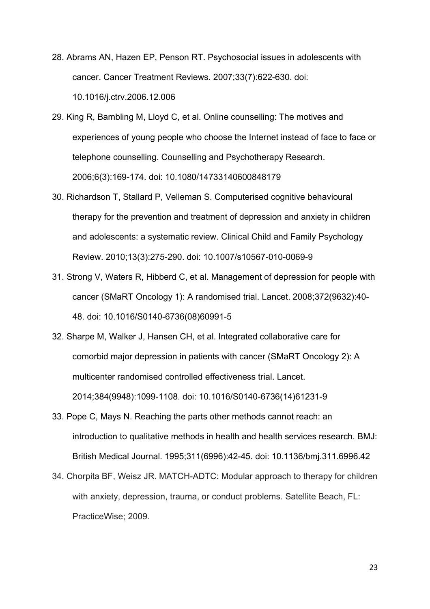- 28. Abrams AN, Hazen EP, Penson RT. Psychosocial issues in adolescents with cancer. Cancer Treatment Reviews. 2007;33(7):622-630. doi: 10.1016/j.ctrv.2006.12.006
- 29. King R, Bambling M, Lloyd C, et al. Online counselling: The motives and experiences of young people who choose the Internet instead of face to face or telephone counselling. Counselling and Psychotherapy Research. 2006;6(3):169-174. doi: 10.1080/14733140600848179
- 30. Richardson T, Stallard P, Velleman S. Computerised cognitive behavioural therapy for the prevention and treatment of depression and anxiety in children and adolescents: a systematic review. Clinical Child and Family Psychology Review. 2010;13(3):275-290. doi: 10.1007/s10567-010-0069-9
- 31. Strong V, Waters R, Hibberd C, et al. Management of depression for people with cancer (SMaRT Oncology 1): A randomised trial. Lancet. 2008;372(9632):40- 48. doi: 10.1016/S0140-6736(08)60991-5
- 32. Sharpe M, Walker J, Hansen CH, et al. Integrated collaborative care for comorbid major depression in patients with cancer (SMaRT Oncology 2): A multicenter randomised controlled effectiveness trial. Lancet. 2014;384(9948):1099-1108. doi: 10.1016/S0140-6736(14)61231-9
- 33. Pope C, Mays N. Reaching the parts other methods cannot reach: an introduction to qualitative methods in health and health services research. BMJ: British Medical Journal. 1995;311(6996):42-45. doi: 10.1136/bmj.311.6996.42
- 34. Chorpita BF, Weisz JR. MATCH-ADTC: Modular approach to therapy for children with anxiety, depression, trauma, or conduct problems. Satellite Beach, FL: PracticeWise; 2009.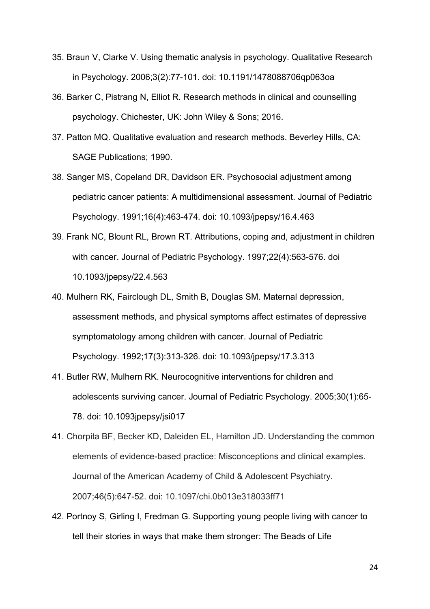- 35. Braun V, Clarke V. Using thematic analysis in psychology. Qualitative Research in Psychology. 2006;3(2):77-101. doi: 10.1191/1478088706qp063oa
- 36. Barker C, Pistrang N, Elliot R. Research methods in clinical and counselling psychology. Chichester, UK: John Wiley & Sons; 2016.
- 37. Patton MQ. Qualitative evaluation and research methods. Beverley Hills, CA: SAGE Publications; 1990.
- 38. Sanger MS, Copeland DR, Davidson ER. Psychosocial adjustment among pediatric cancer patients: A multidimensional assessment. Journal of Pediatric Psychology. 1991;16(4):463-474. doi: 10.1093/jpepsy/16.4.463
- 39. Frank NC, Blount RL, Brown RT. Attributions, coping and, adjustment in children with cancer. Journal of Pediatric Psychology. 1997;22(4):563-576. doi 10.1093/jpepsy/22.4.563
- 40. Mulhern RK, Fairclough DL, Smith B, Douglas SM. Maternal depression, assessment methods, and physical symptoms affect estimates of depressive symptomatology among children with cancer. Journal of Pediatric Psychology. 1992;17(3):313-326. doi: 10.1093/jpepsy/17.3.313
- 41. Butler RW, Mulhern RK. Neurocognitive interventions for children and adolescents surviving cancer. Journal of Pediatric Psychology. 2005;30(1):65- 78. doi: 10.1093jpepsy/jsi017
- 41. Chorpita BF, Becker KD, Daleiden EL, Hamilton JD. Understanding the common elements of evidence-based practice: Misconceptions and clinical examples. Journal of the American Academy of Child & Adolescent Psychiatry. 2007;46(5):647-52. doi: 10.1097/chi.0b013e318033ff71
- 42. Portnoy S, Girling I, Fredman G. Supporting young people living with cancer to tell their stories in ways that make them stronger: The Beads of Life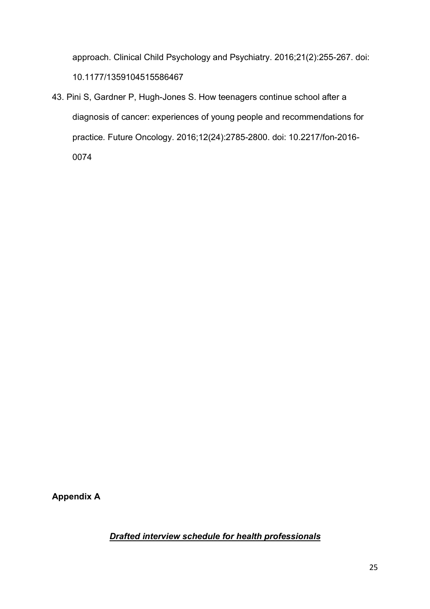approach. Clinical Child Psychology and Psychiatry. 2016;21(2):255-267. doi: 10.1177/1359104515586467

43. Pini S, Gardner P, Hugh-Jones S. How teenagers continue school after a diagnosis of cancer: experiences of young people and recommendations for practice*.* Future Oncology. 2016;12(24):2785-2800. doi: 10.2217/fon-2016- 0074

**Appendix A**

*Drafted interview schedule for health professionals*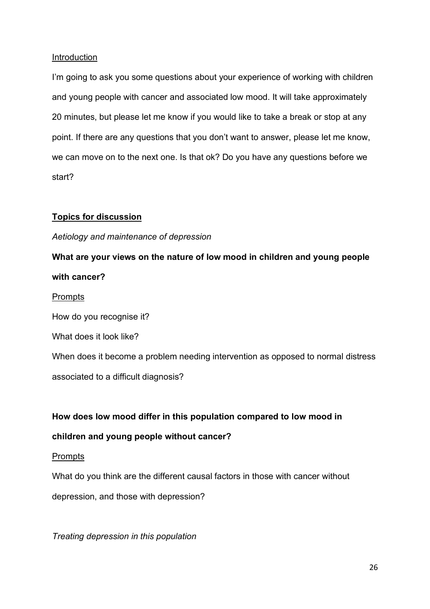## Introduction

I'm going to ask you some questions about your experience of working with children and young people with cancer and associated low mood. It will take approximately 20 minutes, but please let me know if you would like to take a break or stop at any point. If there are any questions that you don't want to answer, please let me know, we can move on to the next one. Is that ok? Do you have any questions before we start?

# **Topics for discussion**

# *Aetiology and maintenance of depression*

**What are your views on the nature of low mood in children and young people with cancer?** Prompts How do you recognise it? What does it look like? When does it become a problem needing intervention as opposed to normal distress associated to a difficult diagnosis?

# **How does low mood differ in this population compared to low mood in**

# **children and young people without cancer?**

# Prompts

What do you think are the different causal factors in those with cancer without

depression, and those with depression?

*Treating depression in this population*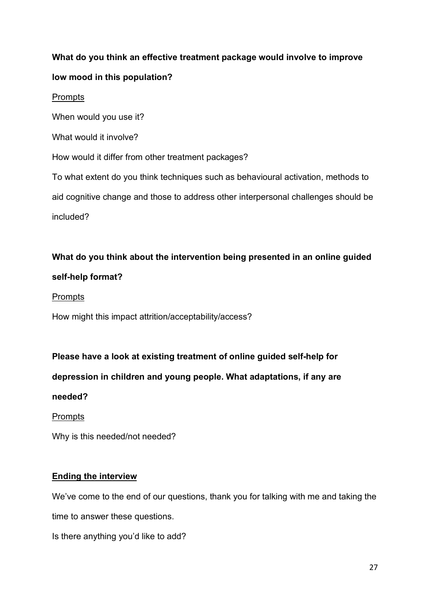# **What do you think an effective treatment package would involve to improve low mood in this population?**

## Prompts

When would you use it?

What would it involve?

How would it differ from other treatment packages?

To what extent do you think techniques such as behavioural activation, methods to aid cognitive change and those to address other interpersonal challenges should be included?

# **What do you think about the intervention being presented in an online guided self-help format?**

# Prompts

How might this impact attrition/acceptability/access?

# **Please have a look at existing treatment of online guided self-help for**

**depression in children and young people. What adaptations, if any are** 

# **needed?**

# Prompts

Why is this needed/not needed?

# **Ending the interview**

We've come to the end of our questions, thank you for talking with me and taking the time to answer these questions.

Is there anything you'd like to add?